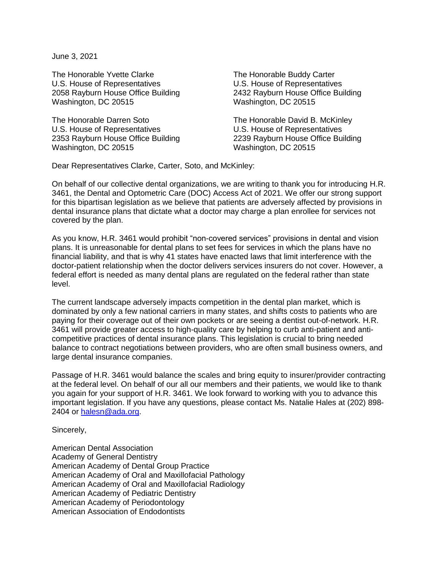June 3, 2021

The Honorable Yvette Clarke The The Honorable Buddy Carter U.S. House of Representatives U.S. House of Representatives 2058 Rayburn House Office Building 2432 Rayburn House Office Building Washington, DC 20515 Washington, DC 20515

The Honorable Darren Soto The Honorable David B. McKinley U.S. House of Representatives<br>
2353 Rayburn House Office Building<br>
2239 Rayburn House Office Iniding<br>
2239 Rayburn House Office Building 2353 Rayburn House Office Building Washington, DC 20515 Washington, DC 20515

Dear Representatives Clarke, Carter, Soto, and McKinley:

On behalf of our collective dental organizations, we are writing to thank you for introducing H.R. 3461, the Dental and Optometric Care (DOC) Access Act of 2021. We offer our strong support for this bipartisan legislation as we believe that patients are adversely affected by provisions in dental insurance plans that dictate what a doctor may charge a plan enrollee for services not covered by the plan.

As you know, H.R. 3461 would prohibit "non-covered services" provisions in dental and vision plans. It is unreasonable for dental plans to set fees for services in which the plans have no financial liability, and that is why 41 states have enacted laws that limit interference with the doctor-patient relationship when the doctor delivers services insurers do not cover. However, a federal effort is needed as many dental plans are regulated on the federal rather than state level.

The current landscape adversely impacts competition in the dental plan market, which is dominated by only a few national carriers in many states, and shifts costs to patients who are paying for their coverage out of their own pockets or are seeing a dentist out-of-network. H.R. 3461 will provide greater access to high-quality care by helping to curb anti-patient and anticompetitive practices of dental insurance plans. This legislation is crucial to bring needed balance to contract negotiations between providers, who are often small business owners, and large dental insurance companies.

Passage of H.R. 3461 would balance the scales and bring equity to insurer/provider contracting at the federal level. On behalf of our all our members and their patients, we would like to thank you again for your support of H.R. 3461. We look forward to working with you to advance this important legislation. If you have any questions, please contact Ms. Natalie Hales at (202) 898- 2404 or [halesn@ada.org.](mailto:halesn@ada.org)

Sincerely,

American Dental Association Academy of General Dentistry American Academy of Dental Group Practice American Academy of Oral and Maxillofacial Pathology American Academy of Oral and Maxillofacial Radiology American Academy of Pediatric Dentistry American Academy of Periodontology American Association of Endodontists